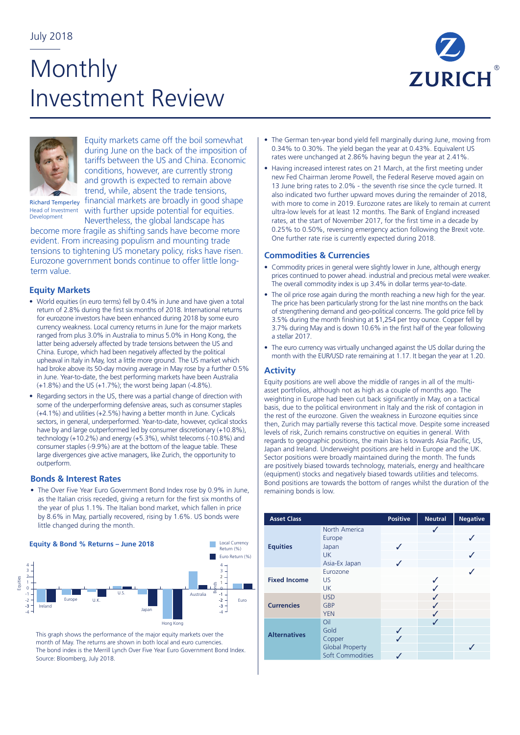# **Monthly** Investment Review





Equity markets came off the boil somewhat during June on the back of the imposition of tariffs between the US and China. Economic conditions, however, are currently strong and growth is expected to remain above trend, while, absent the trade tensions, financial markets are broadly in good shape with further upside potential for equities.

Nevertheless, the global landscape has

Richard Temperley Head of Investment Development

become more fragile as shifting sands have become more evident. From increasing populism and mounting trade tensions to tightening US monetary policy, risks have risen. Eurozone government bonds continue to offer little longterm value.

## **Equity Markets**

- World equities (in euro terms) fell by 0.4% in June and have given a total return of 2.8% during the first six months of 2018. International returns for eurozone investors have been enhanced during 2018 by some euro currency weakness. Local currency returns in June for the major markets ranged from plus 3.0% in Australia to minus 5.0% in Hong Kong, the latter being adversely affected by trade tensions between the US and China. Europe, which had been negatively affected by the political upheaval in Italy in May, lost a little more ground. The US market which had broke above its 50-day moving average in May rose by a further 0.5% in June. Year-to-date, the best performing markets have been Australia (+1.8%) and the US (+1.7%); the worst being Japan (-4.8%).
- Regarding sectors in the US, there was a partial change of direction with some of the underperforming defensive areas, such as consumer staples (+4.1%) and utilities (+2.5%) having a better month in June. Cyclicals sectors, in general, underperformed. Year-to-date, however, cyclical stocks have by and large outperformed led by consumer discretionary (+10.8%), technology (+10.2%) and energy (+5.3%), whilst telecoms (-10.8%) and consumer staples (-9.9%) are at the bottom of the league table. These large divergences give active managers, like Zurich, the opportunity to outperform.

### **Bonds & Interest Rates**

• The Over Five Year Euro Government Bond Index rose by 0.9% in June, as the Italian crisis receded, giving a return for the first six months of the year of plus 1.1%. The Italian bond market, which fallen in price by 8.6% in May, partially recovered, rising by 1.6%. US bonds were little changed during the month.



This graph shows the performance of the major equity markets over the month of May. The returns are shown in both local and euro currencies. The bond index is the Merrill Lynch Over Five Year Euro Government Bond Index. Source: Bloomberg, July 2018.

- The German ten-year bond yield fell marginally during June, moving from 0.34% to 0.30%. The yield began the year at 0.43%. Equivalent US rates were unchanged at 2.86% having begun the year at 2.41%.
- Having increased interest rates on 21 March, at the first meeting under new Fed Chairman Jerome Powell, the Federal Reserve moved again on 13 June bring rates to 2.0% - the seventh rise since the cycle turned. It also indicated two further upward moves during the remainder of 2018, with more to come in 2019. Eurozone rates are likely to remain at current ultra-low levels for at least 12 months. The Bank of England increased rates, at the start of November 2017, for the first time in a decade by 0.25% to 0.50%, reversing emergency action following the Brexit vote. One further rate rise is currently expected during 2018.

### **Commodities & Currencies**

- Commodity prices in general were slightly lower in June, although energy prices continued to power ahead. industrial and precious metal were weaker. The overall commodity index is up 3.4% in dollar terms year-to-date.
- The oil price rose again during the month reaching a new high for the year. The price has been particularly strong for the last nine months on the back of strengthening demand and geo-political concerns. The gold price fell by 3.5% during the month finishing at \$1,254 per troy ounce. Copper fell by 3.7% during May and is down 10.6% in the first half of the year following a stellar 2017.
- The euro currency was virtually unchanged against the US dollar during the month with the EUR/USD rate remaining at 1.17. It began the year at 1.20.

## **Activity**

Equity positions are well above the middle of ranges in all of the multiasset portfolios, although not as high as a couple of months ago. The weighting in Europe had been cut back significantly in May, on a tactical basis, due to the political environment in Italy and the risk of contagion in the rest of the eurozone. Given the weakness in Eurozone equities since then, Zurich may partially reverse this tactical move. Despite some increased levels of risk, Zurich remains constructive on equities in general. With regards to geographic positions, the main bias is towards Asia Pacific, US, Japan and Ireland. Underweight positions are held in Europe and the UK. Sector positions were broadly maintained during the month. The funds are positively biased towards technology, materials, energy and healthcare (equipment) stocks and negatively biased towards utilities and telecoms. Bond positions are towards the bottom of ranges whilst the duration of the remaining bonds is low.

| <b>Asset Class</b>  |                                                                     | <b>Positive</b> | <b>Neutral</b> | <b>Negative</b> |
|---------------------|---------------------------------------------------------------------|-----------------|----------------|-----------------|
| <b>Equities</b>     | North America<br>Europe<br>Japan<br>UK.<br>Asia-Ex Japan            | ✓               | √              |                 |
| <b>Fixed Income</b> | Eurozone<br>US<br><b>UK</b>                                         |                 | J              |                 |
| <b>Currencies</b>   | <b>USD</b><br>GBP<br><b>YEN</b>                                     |                 |                |                 |
| <b>Alternatives</b> | Oil<br>Gold<br>Copper<br><b>Global Property</b><br>Soft Commodities | ✓               |                |                 |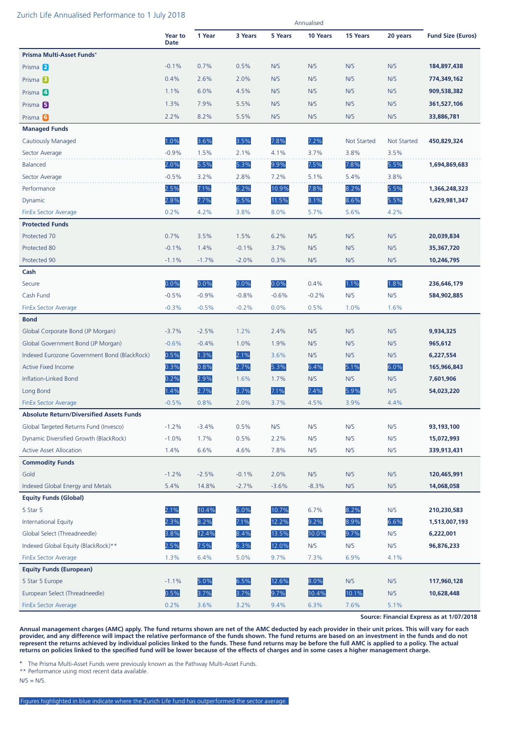#### Zurich Life Annualised Performance to 1 July 2018

|                                                 |                 |         |         |         | Annualised |                    |                    |                          |
|-------------------------------------------------|-----------------|---------|---------|---------|------------|--------------------|--------------------|--------------------------|
|                                                 | Year to<br>Date | 1 Year  | 3 Years | 5 Years | 10 Years   | 15 Years           | 20 years           | <b>Fund Size (Euros)</b> |
| Prisma Multi-Asset Funds+                       |                 |         |         |         |            |                    |                    |                          |
| Prisma 2                                        | $-0.1%$         | 0.7%    | 0.5%    | N/S     | N/S        | N/S                | N/S                | 184,897,438              |
| Prisma <sup>B</sup>                             | 0.4%            | 2.6%    | 2.0%    | N/S     | N/S        | N/S                | N/S                | 774,349,162              |
| Prisma 4                                        | 1.1%            | 6.0%    | 4.5%    | N/S     | N/S        | N/S                | N/S                | 909,538,382              |
| Prisma <sub>5</sub>                             | 1.3%            | 7.9%    | 5.5%    | N/S     | N/S        | N/S                | N/S                | 361,527,106              |
| Prisma <sup>6</sup>                             | 2.2%            | 8.2%    | 5.5%    | N/S     | N/S        | N/S                | N/S                | 33,886,781               |
| <b>Managed Funds</b>                            |                 |         |         |         |            |                    |                    |                          |
| <b>Cautiously Managed</b>                       | 1.0%            | 3.6%    | 3.5%    | 7.8%    | 7.2%       | <b>Not Started</b> | <b>Not Started</b> | 450,829,324              |
| Sector Average                                  | $-0.9%$         | 1.5%    | 2.1%    | 4.1%    | 3.7%       | 3.8%               | 3.5%               |                          |
| <b>Balanced</b>                                 | 2.0%            | 5.5%    | 5.3%    | 9.9%    | 7.5%       | 7.8%               | 5.5%               | 1,694,869,683            |
| Sector Average                                  | $-0.5%$         | 3.2%    | 2.8%    | 7.2%    | 5.1%       | 5.4%               | 3.8%               |                          |
| Performance                                     | 2.5%            | 7.1%    | 6.2%    | 10.9%   | 7.8%       | 8.2%               | 5.5%               | 1,366,248,323            |
| Dynamic                                         | 2.8%            | 7.7%    | 6.5%    | 11.5%   | 8.1%       | 8.6%               | 5.5%               | 1,629,981,347            |
| <b>FinEx Sector Average</b>                     | 0.2%            | 4.2%    | 3.8%    | 8.0%    | 5.7%       | 5.6%               | 4.2%               |                          |
| <b>Protected Funds</b>                          |                 |         |         |         |            |                    |                    |                          |
| Protected 70                                    | 0.7%            | 3.5%    | 1.5%    | 6.2%    | N/S        | N/S                | N/S                | 20,039,834               |
| Protected 80                                    | $-0.1%$         | 1.4%    | $-0.1%$ | 3.7%    | N/S        | N/S                | N/S                | 35,367,720               |
| Protected 90                                    | $-1.1%$         | $-1.7%$ | $-2.0%$ | 0.3%    | N/S        | N/S                | N/S                | 10,246,795               |
| Cash                                            |                 |         |         |         |            |                    |                    |                          |
| Secure                                          | 0.0%            | 0.0%    | 0.0%    | 0.0%    | 0.4%       | 1.1%               | 1.8%               | 236,646,179              |
| Cash Fund                                       | $-0.5%$         | $-0.9%$ | $-0.8%$ | $-0.6%$ | $-0.2%$    | N/S                | N/S                | 584,902,885              |
| <b>FinEx Sector Average</b>                     | $-0.3%$         | $-0.5%$ | $-0.2%$ | 0.0%    | 0.5%       | 1.0%               | 1.6%               |                          |
| <b>Bond</b>                                     |                 |         |         |         |            |                    |                    |                          |
| Global Corporate Bond (JP Morgan)               | $-3.7%$         | $-2.5%$ | 1.2%    | 2.4%    | N/S        | N/S                | N/S                | 9,934,325                |
| Global Government Bond (JP Morgan)              | $-0.6%$         | $-0.4%$ | 1.0%    | 1.9%    | N/S        | N/S                | N/S                | 965,612                  |
| Indexed Eurozone Government Bond (BlackRock)    | 0.5%            | 1.3%    | 2.1%    | 3.6%    | N/S        | N/S                | N/S                | 6,227,554                |
| <b>Active Fixed Income</b>                      | 0.3%            | 0.8%    | 2.7%    | 5.3%    | 6.4%       | 5.1%               | 6.0%               | 165,966,843              |
| <b>Inflation-Linked Bond</b>                    | 0.2%            | 2.9%    | 1.6%    | 1.7%    | N/S        | N/S                | N/S                | 7,601,906                |
| Long Bond                                       | 1.4%            | 2.7%    | 3.7%    | 7.1%    | 7.4%       | 5.9%               | N/S                | 54,023,220               |
| <b>FinEx Sector Average</b>                     | $-0.5%$         | 0.8%    | 2.0%    | 3.7%    | 4.5%       | 3.9%               | 4.4%               |                          |
| <b>Absolute Return/Diversified Assets Funds</b> |                 |         |         |         |            |                    |                    |                          |
| Global Targeted Returns Fund (Invesco)          | $-1.2%$         | $-3.4%$ | 0.5%    | N/S     | N/S        | N/S                | N/S                | 93,193,100               |
| Dynamic Diversified Growth (BlackRock)          | $-1.0%$         | 1.7%    | 0.5%    | 2.2%    | N/S        | N/S                | N/S                | 15,072,993               |
| <b>Active Asset Allocation</b>                  | 1.4%            | 6.6%    | 4.6%    | 7.8%    | N/S        | N/S                | N/S                | 339,913,431              |
| <b>Commodity Funds</b>                          |                 |         |         |         |            |                    |                    |                          |
| Gold                                            | $-1.2%$         | $-2.5%$ | $-0.1%$ | 2.0%    | N/S        | N/S                | N/S                | 120,465,991              |
| Indexed Global Energy and Metals                | 5.4%            | 14.8%   | $-2.7%$ | $-3.6%$ | $-8.3%$    | N/S                | N/S                | 14,068,058               |
| <b>Equity Funds (Global)</b>                    |                 |         |         |         |            |                    |                    |                          |
| 5 Star 5                                        | 2.1%            | 10.4%   | 6.0%    | 10.7%   | 6.7%       | 8.2%               | N/S                | 210,230,583              |
| <b>International Equity</b>                     | 2.3%            | 8.2%    | 7.1%    | 12.2%   | 9.2%       | 8.9%               | 6.6%               | 1,513,007,193            |
| Global Select (Threadneedle)                    | 3.8%            | 12.4%   | 8.4%    | 13.5%   | 10.0%      | 9.7%               | N/S                | 6,222,001                |
| Indexed Global Equity (BlackRock)**             | 2.5%            | 7.5%    | 6.3%    | 12.0%   | N/S        | N/S                | N/S                | 96,876,233               |
| <b>FinEx Sector Average</b>                     | 1.3%            | 6.4%    | 5.0%    | 9.7%    | 7.3%       | 6.9%               | 4.1%               |                          |
| <b>Equity Funds (European)</b>                  |                 |         |         |         |            |                    |                    |                          |
| 5 Star 5 Europe                                 | $-1.1%$         | 5.0%    | 6.5%    | 12.6%   | 8.0%       | N/S                | N/S                | 117,960,128              |
| European Select (Threadneedle)                  | 0.5%            | 3.7%    | 3.7%    | 9.7%    | 10.4%      | 10.1%              | N/S                | 10,628,448               |
| <b>FinEx Sector Average</b>                     | 0.2%            | 3.6%    | 3.2%    | 9.4%    | 6.3%       | 7.6%               | 5.1%               |                          |

**Source: Financial Express as at 1/07/2018**

**Annual management charges (AMC) apply. The fund returns shown are net of the AMC deducted by each provider in their unit prices. This will vary for each provider, and any difference will impact the relative performance of the funds shown. The fund returns are based on an investment in the funds and do not represent the returns achieved by individual policies linked to the funds. These fund returns may be before the full AMC is applied to a policy. The actual returns on policies linked to the specified fund will be lower because of the effects of charges and in some cases a higher management charge.**

**<sup>+</sup>** The Prisma Multi-Asset Funds were previously known as the Pathway Multi-Asset Funds.

\*\* Performance using most recent data available.

 $N/S = N/S$ .

Figures highlighted in blue indicate where the Zurich Life fund has outperformed the sector average.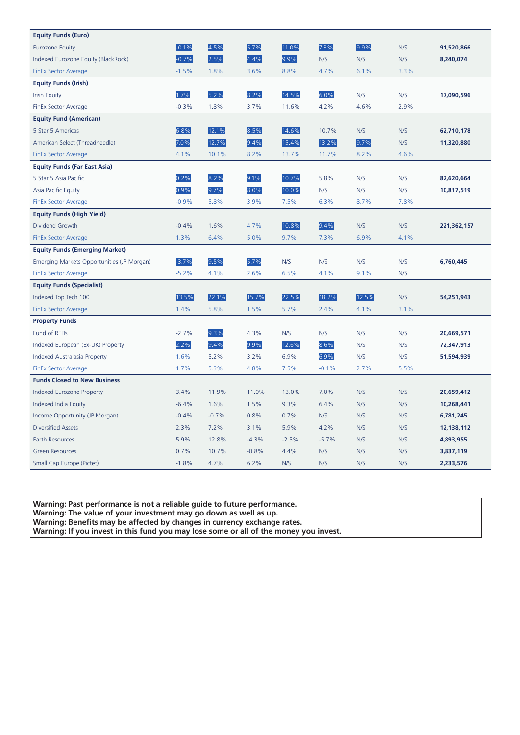| <b>Equity Funds (Euro)</b>                 |         |         |         |         |         |       |      |             |
|--------------------------------------------|---------|---------|---------|---------|---------|-------|------|-------------|
| <b>Eurozone Equity</b>                     | $-0.1%$ | 4.5%    | 5.7%    | 11.0%   | 7.3%    | 9.9%  | N/S  | 91,520,866  |
| Indexed Eurozone Equity (BlackRock)        | $-0.7%$ | 2.5%    | 4.4%    | 9.9%    | N/S     | N/S   | N/S  | 8,240,074   |
| <b>FinEx Sector Average</b>                | $-1.5%$ | 1.8%    | 3.6%    | 8.8%    | 4.7%    | 6.1%  | 3.3% |             |
| <b>Equity Funds (Irish)</b>                |         |         |         |         |         |       |      |             |
| <b>Irish Equity</b>                        | 1.7%    | 5.2%    | 8.2%    | 14.5%   | 6.0%    | N/S   | N/S  | 17,090,596  |
| FinEx Sector Average                       | $-0.3%$ | 1.8%    | 3.7%    | 11.6%   | 4.2%    | 4.6%  | 2.9% |             |
| <b>Equity Fund (American)</b>              |         |         |         |         |         |       |      |             |
| 5 Star 5 Americas                          | 6.8%    | 12.1%   | 8.5%    | 14.6%   | 10.7%   | N/S   | N/S  | 62,710,178  |
| American Select (Threadneedle)             | 7.0%    | 12.7%   | 9.4%    | 15.4%   | 13.2%   | 9.7%  | N/S  | 11,320,880  |
| <b>FinEx Sector Average</b>                | 4.1%    | 10.1%   | 8.2%    | 13.7%   | 11.7%   | 8.2%  | 4.6% |             |
| <b>Equity Funds (Far East Asia)</b>        |         |         |         |         |         |       |      |             |
| 5 Star 5 Asia Pacific                      | 0.2%    | 8.2%    | 9.1%    | 10.7%   | 5.8%    | N/S   | N/S  | 82,620,664  |
| Asia Pacific Equity                        | 0.9%    | 9.7%    | 8.0%    | 10.0%   | N/S     | N/S   | N/S  | 10,817,519  |
| <b>FinEx Sector Average</b>                | $-0.9%$ | 5.8%    | 3.9%    | 7.5%    | 6.3%    | 8.7%  | 7.8% |             |
| <b>Equity Funds (High Yield)</b>           |         |         |         |         |         |       |      |             |
| Dividend Growth                            | $-0.4%$ | 1.6%    | 4.7%    | 10.8%   | 9.4%    | N/S   | N/S  | 221,362,157 |
| <b>FinEx Sector Average</b>                | 1.3%    | 6.4%    | 5.0%    | 9.7%    | 7.3%    | 6.9%  | 4.1% |             |
| <b>Equity Funds (Emerging Market)</b>      |         |         |         |         |         |       |      |             |
| Emerging Markets Opportunities (JP Morgan) | $-3.7%$ | 9.5%    | 5.7%    | N/S     | N/S     | N/S   | N/S  | 6,760,445   |
| <b>FinEx Sector Average</b>                | $-5.2%$ | 4.1%    | 2.6%    | 6.5%    | 4.1%    | 9.1%  | N/S  |             |
| <b>Equity Funds (Specialist)</b>           |         |         |         |         |         |       |      |             |
| Indexed Top Tech 100                       | 13.5%   | 22.1%   | 15.7%   | 22.5%   | 18.2%   | 12.5% | N/S  | 54,251,943  |
| <b>FinEx Sector Average</b>                | 1.4%    | 5.8%    | 1.5%    | 5.7%    | 2.4%    | 4.1%  | 3.1% |             |
| <b>Property Funds</b>                      |         |         |         |         |         |       |      |             |
| Fund of REITs                              | $-2.7%$ | 9.3%    | 4.3%    | N/S     | N/S     | N/S   | N/S  | 20,669,571  |
| Indexed European (Ex-UK) Property          | 2.2%    | 9.4%    | 9.9%    | 12.6%   | 8.6%    | N/S   | N/S  | 72,347,913  |
| <b>Indexed Australasia Property</b>        | 1.6%    | 5.2%    | 3.2%    | 6.9%    | 6.9%    | N/S   | N/S  | 51,594,939  |
| <b>FinEx Sector Average</b>                | 1.7%    | 5.3%    | 4.8%    | 7.5%    | $-0.1%$ | 2.7%  | 5.5% |             |
| <b>Funds Closed to New Business</b>        |         |         |         |         |         |       |      |             |
| <b>Indexed Eurozone Property</b>           | 3.4%    | 11.9%   | 11.0%   | 13.0%   | 7.0%    | N/S   | N/S  | 20,659,412  |
| Indexed India Equity                       | $-6.4%$ | 1.6%    | 1.5%    | 9.3%    | 6.4%    | N/S   | N/S  | 10,268,441  |
| Income Opportunity (JP Morgan)             | $-0.4%$ | $-0.7%$ | 0.8%    | 0.7%    | N/S     | N/S   | N/S  | 6,781,245   |
| <b>Diversified Assets</b>                  | 2.3%    | 7.2%    | 3.1%    | 5.9%    | 4.2%    | N/S   | N/S  | 12,138,112  |
| Earth Resources                            | 5.9%    | 12.8%   | $-4.3%$ | $-2.5%$ | $-5.7%$ | N/S   | N/S  | 4,893,955   |
| <b>Green Resources</b>                     | 0.7%    | 10.7%   | $-0.8%$ | 4.4%    | N/S     | N/S   | N/S  | 3,837,119   |
| Small Cap Europe (Pictet)                  | $-1.8%$ | 4.7%    | 6.2%    | N/S     | N/S     | N/S   | N/S  | 2,233,576   |

**Warning: Past performance is not a reliable guide to future performance.** 

**Warning: The value of your investment may go down as well as up.** 

**Warning: Benefits may be affected by changes in currency exchange rates.** 

**Warning: If you invest in this fund you may lose some or all of the money you invest.**